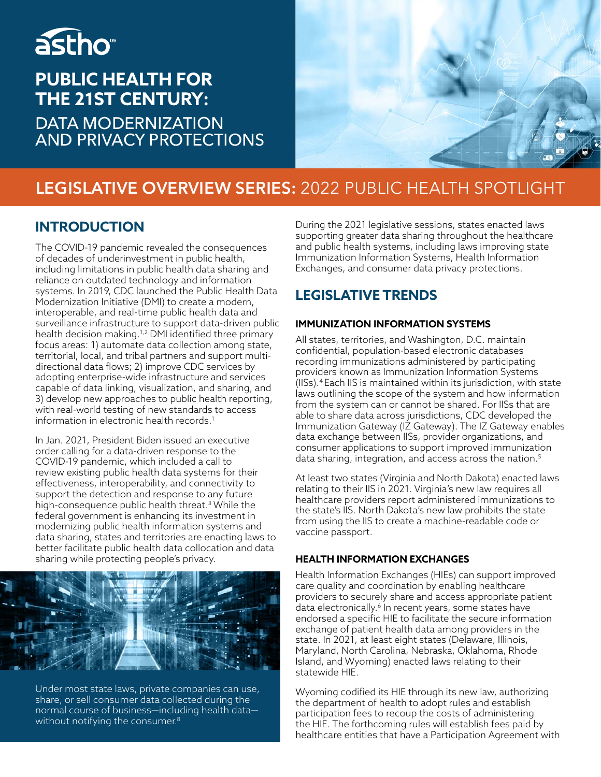# astho<sup>®</sup>

## **PUBLIC HEALTH FOR THE 21ST CENTURY:**

DATA MODERNIZATION AND PRIVACY PROTECTIONS



## **LEGISLATIVE OVERVIEW SERIES:** 2022 PUBLIC HEALTH SPOTLIGHT

### **INTRODUCTION**

The COVID-19 pandemic revealed the consequences of decades of underinvestment in public health, including limitations in public health data sharing and reliance on outdated technology and information systems. In 2019, CDC launched the Public Health Data Modernization Initiative (DMI) to create a modern, interoperable, and real-time public health data and surveillance infrastructure to support data-driven public health decision making.1,2 DMI identified three primary focus areas: 1) automate data collection among state, territorial, local, and tribal partners and support multidirectional data flows; 2) improve CDC services by adopting enterprise-wide infrastructure and services capable of data linking, visualization, and sharing, and 3) develop new approaches to public health reporting, with real-world testing of new standards to access information in electronic health records.<sup>1</sup>

In Jan. 2021, President Biden issued an executive order calling for a data-driven response to the COVID-19 pandemic, which included a call to review existing public health data systems for their effectiveness, interoperability, and connectivity to support the detection and response to any future high-consequence public health threat.3 While the federal government is enhancing its investment in modernizing public health information systems and data sharing, states and territories are enacting laws to better facilitate public health data collocation and data sharing while protecting people's privacy.



Under most state laws, private companies can use, share, or sell consumer data collected during the normal course of business—including health data without notifying the consumer. $^8$ 

During the 2021 legislative sessions, states enacted laws supporting greater data sharing throughout the healthcare and public health systems, including laws improving state Immunization Information Systems, Health Information Exchanges, and consumer data privacy protections.

## **LEGISLATIVE TRENDS**

#### **IMMUNIZATION INFORMATION SYSTEMS**

All states, territories, and Washington, D.C. maintain confidential, population-based electronic databases recording immunizations administered by participating providers known as Immunization Information Systems (IISs).4 Each IIS is maintained within its jurisdiction, with state laws outlining the scope of the system and how information from the system can or cannot be shared. For IISs that are able to share data across jurisdictions, CDC developed the Immunization Gateway (IZ Gateway). The IZ Gateway enables data exchange between IISs, provider organizations, and consumer applications to support improved immunization data sharing, integration, and access across the nation.<sup>5</sup>

At least two states (Virginia and North Dakota) enacted laws relating to their IIS in 2021. Virginia's new law requires all healthcare providers report administered immunizations to the state's IIS. North Dakota's new law prohibits the state from using the IIS to create a machine-readable code or vaccine passport.

#### **HEALTH INFORMATION EXCHANGES**

Health Information Exchanges (HIEs) can support improved care quality and coordination by enabling healthcare providers to securely share and access appropriate patient data electronically.<sup>6</sup> In recent years, some states have endorsed a specific HIE to facilitate the secure information exchange of patient health data among providers in the state. In 2021, at least eight states (Delaware, Illinois, Maryland, North Carolina, Nebraska, Oklahoma, Rhode Island, and Wyoming) enacted laws relating to their statewide HIE.

Wyoming codified its HIE through its new law, authorizing the department of health to adopt rules and establish participation fees to recoup the costs of administering the HIE. The forthcoming rules will establish fees paid by healthcare entities that have a Participation Agreement with